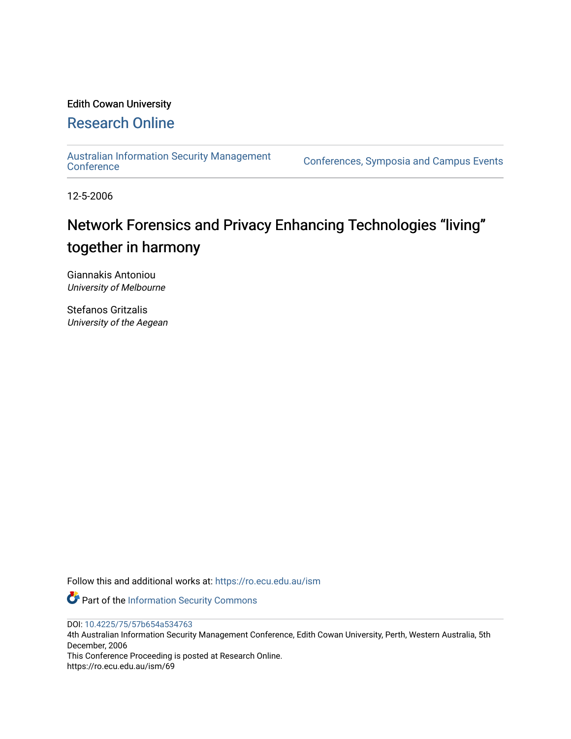# Edith Cowan University [Research Online](https://ro.ecu.edu.au/)

[Australian Information Security Management](https://ro.ecu.edu.au/ism) 

[Conference](https://ro.ecu.edu.au/ism)s, Symposia and Campus Events

12-5-2006

# Network Forensics and Privacy Enhancing Technologies "living" together in harmony

Giannakis Antoniou University of Melbourne

Stefanos Gritzalis University of the Aegean

Follow this and additional works at: [https://ro.ecu.edu.au/ism](https://ro.ecu.edu.au/ism?utm_source=ro.ecu.edu.au%2Fism%2F69&utm_medium=PDF&utm_campaign=PDFCoverPages) 

Part of the [Information Security Commons](http://network.bepress.com/hgg/discipline/1247?utm_source=ro.ecu.edu.au%2Fism%2F69&utm_medium=PDF&utm_campaign=PDFCoverPages) 

DOI: [10.4225/75/57b654a534763](https://doi.org/10.4225/75/57b654a534763) 

4th Australian Information Security Management Conference, Edith Cowan University, Perth, Western Australia, 5th December, 2006

This Conference Proceeding is posted at Research Online. https://ro.ecu.edu.au/ism/69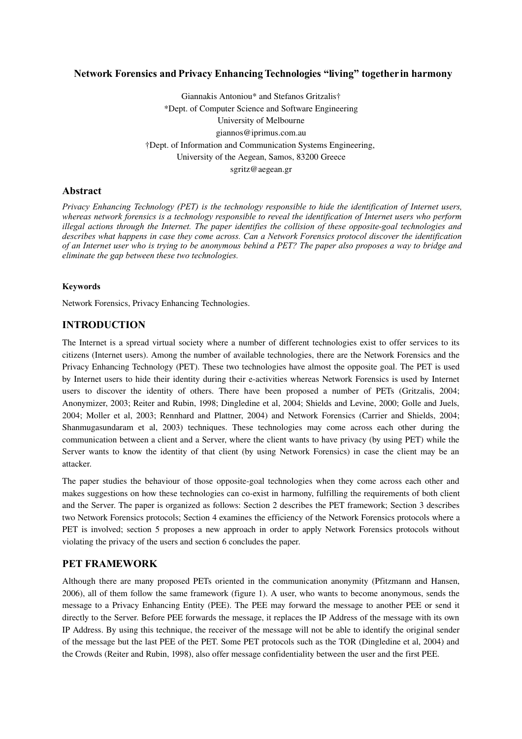# **Network Forensics and Privacy Enhancing Technologies "living" together in harmony**

Giannakis Antoniou\* and Stefanos Gritzalis† \*Dept. of Computer Science and Software Engineering University of Melbourne giannos@iprimus.com.au †Dept. of Information and Communication Systems Engineering, University of the Aegean, Samos, 83200 Greece sgritz@aegean.gr

# **Abstract**

*Privacy Enhancing Technology (PET) is the technology responsible to hide the identification of Internet users, whereas network forensics is a technology responsible to reveal the identification of Internet users who perform illegal actions through the Internet. The paper identifies the collision of these opposite-goal technologies and describes what happens in case they come across. Can a Network Forensics protocol discover the identification* of an Internet user who is trying to be anonymous behind a PET? The paper also proposes a way to bridge and *eliminate the gap between these two technologies.*

#### **Keywords**

Network Forensics, Privacy Enhancing Technologies.

# **INTRODUCTION**

The Internet is a spread virtual society where a number of different technologies exist to offer services to its citizens (Internet users). Among the number of available technologies, there are the Network Forensics and the Privacy Enhancing Technology (PET). These two technologies have almost the opposite goal. The PET is used by Internet users to hide their identity during their eactivities whereas Network Forensics is used by Internet users to discover the identity of others. There have been proposed a number of PETs (Gritzalis, 2004; Anonymizer, 2003; Reiter and Rubin, 1998; Dingledine et al, 2004; Shields and Levine, 2000; Golle and Juels, 2004; Moller et al, 2003; Rennhard and Plattner, 2004) and Network Forensics (Carrier and Shields, 2004; Shanmugasundaram et al, 2003) techniques. These technologies may come across each other during the communication between a client and a Server, where the client wants to have privacy (by using PET) while the Server wants to know the identity of that client (by using Network Forensics) in case the client may be an attacker.

The paper studies the behaviour of those opposite-goal technologies when they come across each other and makes suggestions on how these technologies can co-exist in harmony, fulfilling the requirements of both client and the Server. The paper is organized as follows: Section 2 describes the PET framework; Section 3 describes two Network Forensics protocols; Section 4 examines the efficiency of the Network Forensics protocols where a PET is involved; section 5 proposes a new approach in order to apply Network Forensics protocols without violating the privacy of the users and section 6 concludes the paper.

# **PET FRAMEWORK**

Although there are many proposed PETs oriented in the communication anonymity (Pfitzmann and Hansen, 2006), all of them follow the same framework (figure 1). A user, who wants to become anonymous, sends the message to a Privacy Enhancing Entity (PEE). The PEE may forward the message to another PEE or send it directly to the Server. Before PEE forwards the message, it replaces the IP Address of the message with its own IP Address. By using this technique, the receiver of the message will not be able to identify the original sender of the message but the last PEE of the PET. Some PET protocols such as the TOR (Dingledine et al, 2004) and the Crowds (Reiter and Rubin, 1998), also offer message confidentiality between the user and the first PEE.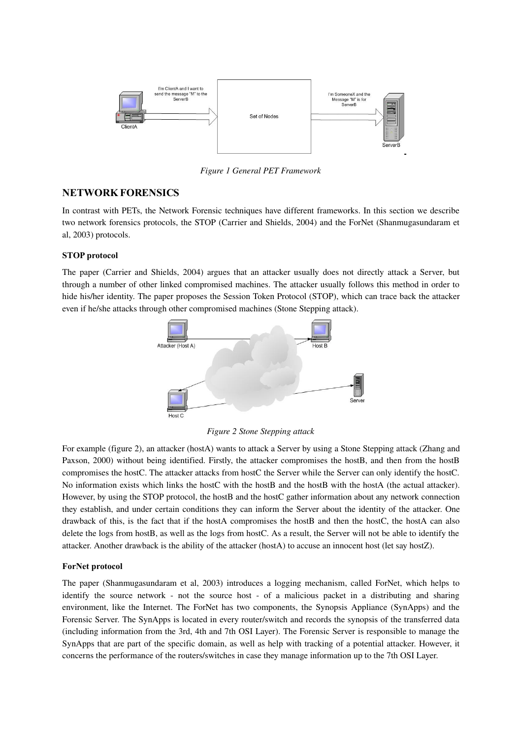

*Figure 1 General PET Framework*

# **NETWORK FORENSICS**

In contrast with PETs, the Network Forensic techniques have different frameworks. In this section we describe two network forensics protocols, the STOP (Carrier and Shields, 2004) and the ForNet (Shanmugasundaram et al, 2003) protocols.

#### **STOP protocol**

The paper (Carrier and Shields, 2004) argues that an attacker usually does not directly attack a Server, but through a number of other linked compromised machines. The attacker usually follows this method in order to hide his/her identity. The paper proposes the Session Token Protocol (STOP), which can trace back the attacker even if he/she attacks through other compromised machines (Stone Stepping attack).



*Figure 2 Stone Stepping attack*

For example (figure 2), an attacker (hostA) wants to attack a Server by using a Stone Stepping attack (Zhang and Paxson, 2000) without being identified. Firstly, the attacker compromises the hostB, and then from the hostB compromises the hostC. The attacker attacks from hostC the Server while the Server can only identify the hostC. No information exists which links the hostC with the hostB and the hostB with the hostA (the actual attacker). However, by using the STOP protocol, the hostB and the hostC gather information about any network connection they establish, and under certain conditions they can inform the Server about the identity of the attacker. One drawback of this, is the fact that if the hostA compromises the hostB and then the hostC, the hostA can also delete the logs from hostB, as well as the logs from hostC. As a result, the Server will not be able to identify the attacker. Another drawback is the ability of the attacker (hostA) to accuse an innocent host (let say hostZ).

#### **ForNet protocol**

The paper (Shanmugasundaram et al, 2003) introduces a logging mechanism, called ForNet, which helps to identify the source network - not the source host - of a malicious packet in a distributing and sharing environment, like the Internet. The ForNet has two components, the Synopsis Appliance (SynApps) and the Forensic Server. The SynApps is located in every router/switch and records the synopsis of the transferred data (including information from the 3rd, 4th and 7th OSI Layer). The Forensic Server is responsible to manage the SynApps that are part of the specific domain, as well as help with tracking of a potential attacker. However, it concerns the performance of the routers/switches in case they manage information up to the 7th OSI Layer.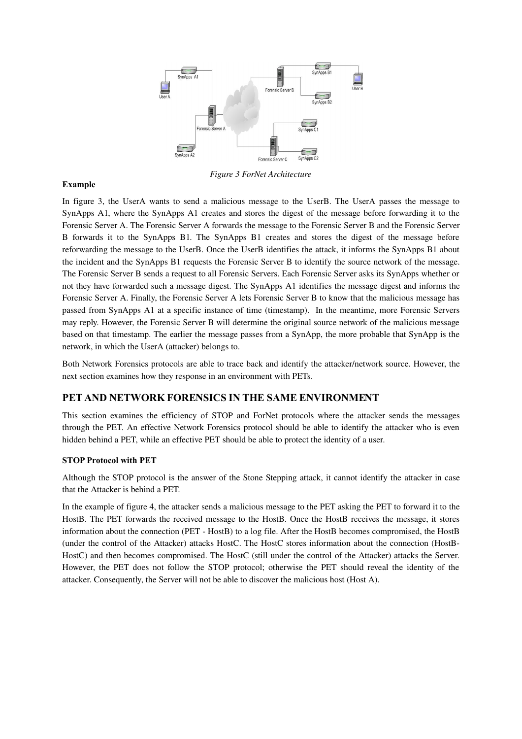

*Figure 3 ForNet Architecture*

#### **Example**

In figure 3, the UserA wants to send a malicious message to the UserB. The UserA passes the message to SynApps A1, where the SynApps A1 creates and stores the digest of the message before forwarding it to the Forensic Server A. The Forensic Server A forwards the message to the Forensic Server B and the Forensic Server B forwards it to the SynApps B1. The SynApps B1 creates and stores the digest of the message before reforwarding the message to the UserB. Once the UserB identifies the attack, it informs the SynApps B1 about the incident and the SynApps B1 requests the Forensic Server B to identify the source network of the message. The Forensic Server B sends a request to all Forensic Servers. Each Forensic Server asks its SynApps whether or not they have forwarded such a message digest. The SynApps A1 identifies the message digest and informs the Forensic Server A. Finally, the Forensic Server A lets Forensic Server B to know that the malicious message has passed from SynApps A1 at a specific instance of time (timestamp). In the meantime, more Forensic Servers may reply. However, the Forensic Server B will determine the original source network of the malicious message based on that timestamp. The earlier the message passes from a SynApp, the more probable that SynApp is the network, in which the UserA (attacker) belongs to.

Both Network Forensics protocols are able to trace back and identify the attacker/network source. However, the next section examines how they response in an environment with PETs.

# **PET AND NETWORK FORENSICS IN THE SAME ENVIRONMENT**

This section examines the efficiency of STOP and ForNet protocols where the attacker sends the messages through the PET. An effective Network Forensics protocol should be able to identify the attacker who is even hidden behind a PET, while an effective PET should be able to protect the identity of a user.

#### **STOP Protocol with PET**

Although the STOP protocol is the answer of the Stone Stepping attack, it cannot identify the attacker in case that the Attacker is behind a PET.

In the example of figure 4, the attacker sends a malicious message to the PET asking the PET to forward it to the HostB. The PET forwards the received message to the HostB. Once the HostB receives the message, it stores information about the connection (PET - HostB) to a log file. After the HostB becomes compromised, the HostB (under the control of the Attacker) attacks HostC. The HostC stores information about the connection (HostB-HostC) and then becomes compromised. The HostC (still under the control of the Attacker) attacks the Server. However, the PET does not follow the STOP protocol; otherwise the PET should reveal the identity of the attacker. Consequently, the Server will not be able to discover the malicious host (Host A).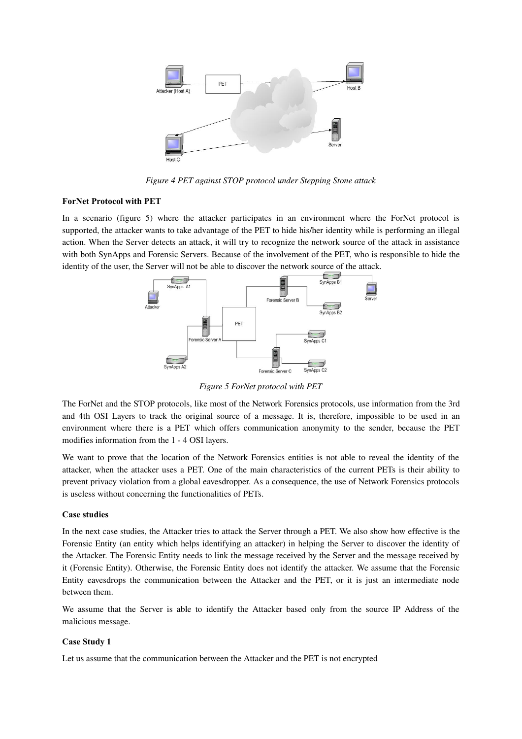

*Figure 4 PET against STOP protocol under Stepping Stone attack*

#### **ForNet Protocol with PET**

In a scenario (figure 5) where the attacker participates in an environment where the ForNet protocol is supported, the attacker wants to take advantage of the PET to hide his/her identity while is performing an illegal action. When the Server detects an attack, it will try to recognize the network source of the attack in assistance with both SynApps and Forensic Servers. Because of the involvement of the PET, who is responsible to hide the identity of the user, the Server will not be able to discover the network source of the attack.



*Figure 5 ForNet protocol with PET*

The ForNet and the STOP protocols, like most of the Network Forensics protocols, use information from the 3rd and 4th OSI Layers to track the original source of a message. It is, therefore, impossible to be used in an environment where there is a PET which offers communication anonymity to the sender, because the PET modifies information from the 1 - 4 OSI layers.

We want to prove that the location of the Network Forensics entities is not able to reveal the identity of the attacker, when the attacker uses a PET. One of the main characteristics of the current PETs is their ability to prevent privacy violation from a global eavesdropper. As a consequence, the use of Network Forensics protocols is useless without concerning the functionalities of PETs.

#### **Case studies**

In the next case studies, the Attacker tries to attack the Server through a PET. We also show how effective is the Forensic Entity (an entity which helps identifying an attacker) in helping the Server to discover the identity of the Attacker. The Forensic Entity needs to link the message received by the Server and the message received by it (Forensic Entity). Otherwise, the Forensic Entity does not identify the attacker. We assume that the Forensic Entity eavesdrops the communication between the Attacker and the PET, or it is just an intermediate node between them.

We assume that the Server is able to identify the Attacker based only from the source IP Address of the malicious message.

#### **Case Study 1**

Let us assume that the communication between the Attacker and the PET is not encrypted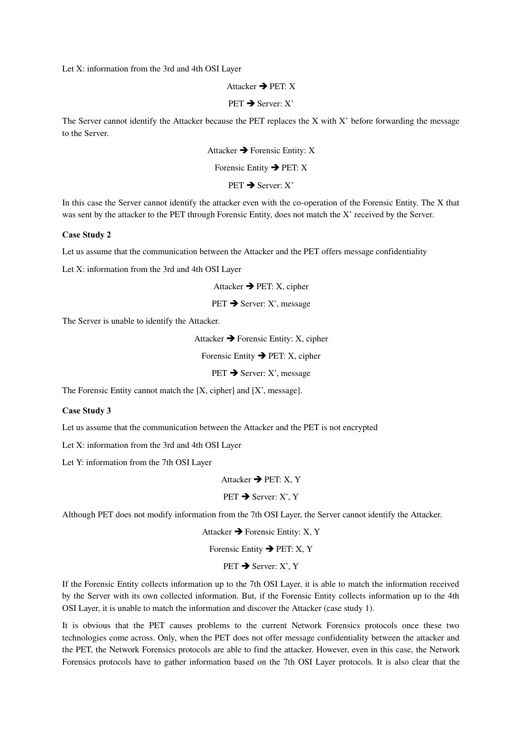Let X: information from the 3rd and 4th OSI Layer

Attacker  $\rightarrow$  PET: X

 $PET \rightarrow Server: X'$ 

The Server cannot identify the Attacker because the PET replaces the X with X' before forwarding the message to the Server.

> Attacker  $\rightarrow$  Forensic Entity: X Forensic Entity  $\rightarrow$  PET: X  $PET \rightarrow$  Server:  $X'$

In this case the Server cannot identify the attacker even with the co-operation of the Forensic Entity. The X that was sent by the attacker to the PET through Forensic Entity, does not match the X' received by the Server.

#### **Case Study 2**

Let us assume that the communication between the Attacker and the PET offers message confidentiality

Let X: information from the 3rd and 4th OSI Layer

Attacker  $\rightarrow$  PET: X, cipher

 $PET \rightarrow$  Server: X', message

The Server is unable to identify the Attacker.

Attacker  $\rightarrow$  Forensic Entity: X, cipher

Forensic Entity  $\rightarrow$  PET: X, cipher

 $PET \rightarrow$  Server: X', message

The Forensic Entity cannot match the [X, cipher] and [X', message].

#### **Case Study 3**

Let us assume that the communication between the Attacker and the PET is not encrypted

Let X: information from the 3rd and 4th OSI Layer

Let Y: information from the 7th OSI Layer

Attacker  $\rightarrow$  PET $\cdot$  X, Y

 $PET \rightarrow Server: X'. Y$ 

Although PET does not modify information from the 7th OSI Layer, the Server cannot identify the Attacker.

Attacker  $\rightarrow$  Forensic Entity: X, Y

Forensic Entity  $\rightarrow$  PET: X, Y

#### $PET \rightarrow$  Server:  $X'$ ,  $Y$

If the Forensic Entity collects information up to the 7th OSI Layer, it is able to match the information received by the Server with its own collected information. But, if the Forensic Entity collects information up to the 4th OSI Layer, it is unable to match the information and discover the Attacker (case study 1).

It is obvious that the PET causes problems to the current Network Forensics protocols once these two technologies come across. Only, when the PET does not offer message confidentiality between the attacker and the PET, the Network Forensics protocols are able to find the attacker. However, even in this case, the Network Forensics protocols have to gather information based on the 7th OSI Layer protocols. It is also clear that the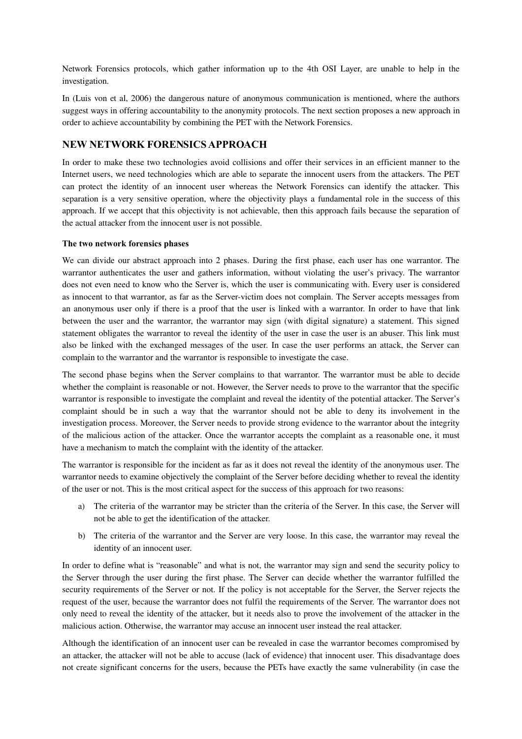Network Forensics protocols, which gather information up to the 4th OSI Layer, are unable to help in the investigation.

In (Luis von et al, 2006) the dangerous nature of anonymous communication is mentioned, where the authors suggest ways in offering accountability to the anonymity protocols. The next section proposes a new approach in order to achieve accountability by combining the PET with the Network Forensics.

# **NEW NETWORK FORENSICS APPROACH**

In order to make these two technologies avoid collisions and offer their services in an efficient manner to the Internet users, we need technologies which are able to separate the innocent users from the attackers. The PET can protect the identity of an innocent user whereas the Network Forensics can identify the attacker. This separation is a very sensitive operation, where the objectivity plays a fundamental role in the success of this approach. If we accept that this objectivity is not achievable, then this approach fails because the separation of the actual attacker from the innocent user is not possible.

#### **The two network forensics phases**

We can divide our abstract approach into 2 phases. During the first phase, each user has one warrantor. The warrantor authenticates the user and gathers information, without violating the user's privacy. The warrantor does not even need to know who the Server is, which the user is communicating with. Every user is considered as innocent to that warrantor, as far as the Server-victim does not complain. The Server accepts messages from an anonymous user only if there is a proof that the user is linked with a warrantor. In order to have that link between the user and the warrantor, the warrantor may sign (with digital signature) a statement. This signed statement obligates the warrantor to reveal the identity of the user in case the user is an abuser. This link must also be linked with the exchanged messages of the user. In case the user performs an attack, the Server can complain to the warrantor and the warrantor is responsible to investigate the case.

The second phase begins when the Server complains to that warrantor. The warrantor must be able to decide whether the complaint is reasonable or not. However, the Server needs to prove to the warrantor that the specific warrantor is responsible to investigate the complaint and reveal the identity of the potential attacker. The Server's complaint should be in such a way that the warrantor should not be able to deny its involvement in the investigation process. Moreover, the Server needs to provide strong evidence to the warrantor about the integrity of the malicious action of the attacker. Once the warrantor accepts the complaint as a reasonable one, it must have a mechanism to match the complaint with the identity of the attacker.

The warrantor is responsible for the incident as far as it does not reveal the identity of the anonymous user. The warrantor needs to examine objectively the complaint of the Server before deciding whether to reveal the identity of the user or not. This is the most critical aspect for the success of this approach for two reasons:

- a) The criteria of the warrantor may be stricter than the criteria of the Server. In this case, the Server will not be able to get the identification of the attacker.
- b) The criteria of the warrantor and the Server are very loose. In this case, the warrantor may reveal the identity of an innocent user.

In order to define what is "reasonable" and what is not, the warrantor may sign and send the security policy to the Server through the user during the first phase. The Server can decide whether the warrantor fulfilled the security requirements of the Server or not. If the policy is not acceptable for the Server, the Server rejects the request of the user, because the warrantor does not fulfil the requirements of the Server. The warrantor does not only need to reveal the identity of the attacker, but it needs also to prove the involvement of the attacker in the malicious action. Otherwise, the warrantor may accuse an innocent user instead the real attacker.

Although the identification of an innocent user can be revealed in case the warrantor becomes compromised by an attacker, the attacker will not be able to accuse (lack of evidence) that innocent user. This disadvantage does not create significant concerns for the users, because the PETs have exactly the same vulnerability (in case the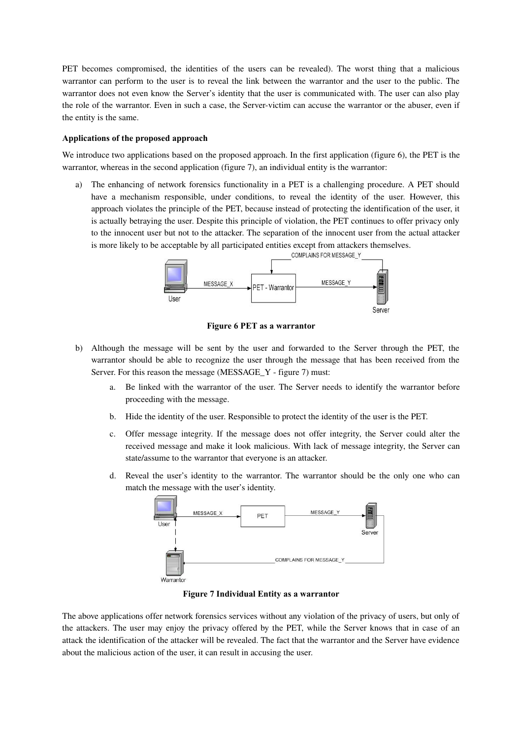PET becomes compromised, the identities of the users can be revealed). The worst thing that a malicious warrantor can perform to the user is to reveal the link between the warrantor and the user to the public. The warrantor does not even know the Server's identity that the user is communicated with. The user can also play the role of the warrantor. Even in such a case, the Server-victim can accuse the warrantor or the abuser, even if the entity is the same.

#### **Applications of the proposed approach**

We introduce two applications based on the proposed approach. In the first application (figure 6), the PET is the warrantor, whereas in the second application (figure 7), an individual entity is the warrantor:

a) The enhancing of network forensics functionality in a PET is a challenging procedure. A PET should have a mechanism responsible, under conditions, to reveal the identity of the user. However, this approach violates the principle of the PET, because instead of protecting the identification of the user, it is actually betraying the user. Despite this principle of violation, the PET continues to offer privacy only to the innocent user but not to the attacker. The separation of the innocent user from the actual attacker is more likely to be acceptable by all participated entities except from attackers themselves.



**Figure 6 PET as a warrantor**

- b) Although the message will be sent by the user and forwarded to the Server through the PET, the warrantor should be able to recognize the user through the message that has been received from the Server. For this reason the message (MESSAGE Y - figure 7) must:
	- a. Be linked with the warrantor of the user. The Server needs to identify the warrantor before proceeding with the message.
	- b. Hide the identity of the user. Responsible to protect the identity of the user is the PET.
	- c. Offer message integrity. If the message does not offer integrity, the Server could alter the received message and make it look malicious. With lack of message integrity, the Server can state/assume to the warrantor that everyone is an attacker.
	- d. Reveal the user's identity to the warrantor. The warrantor should be the only one who can match the message with the user's identity.



**Figure 7 Individual Entity as a warrantor**

The above applications offer network forensics services without any violation of the privacy of users, but only of the attackers. The user may enjoy the privacy offered by the PET, while the Server knows that in case of an attack the identification of the attacker will be revealed. The fact that the warrantor and the Server have evidence about the malicious action of the user, it can result in accusing the user.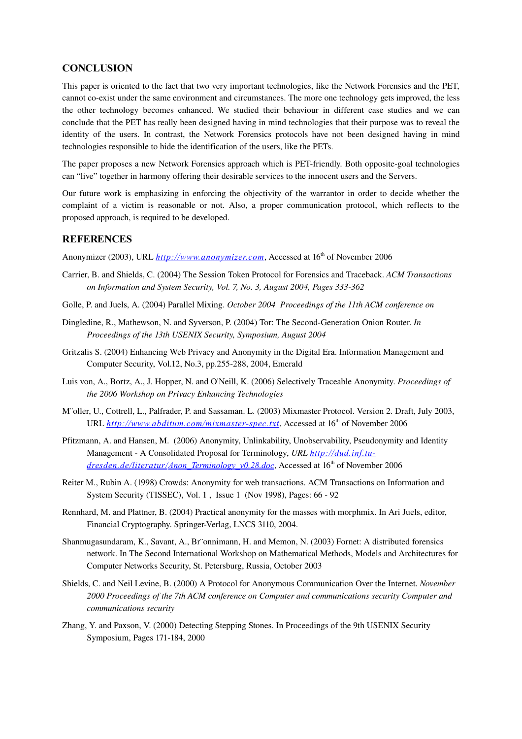# **CONCLUSION**

This paper is oriented to the fact that two very important technologies, like the Network Forensics and the PET, cannot co-exist under the same environment and circumstances. The more one technology gets improved, the less the other technology becomes enhanced. We studied their behaviour in different case studies and we can conclude that the PET has really been designed having in mind technologies that their purpose was to reveal the identity of the users. In contrast, the Network Forensics protocols have not been designed having in mind technologies responsible to hide the identification of the users, like the PETs.

The paper proposes a new Network Forensics approach which is PET-friendly. Both opposite-goal technologies can "live" together in harmony offering their desirable services to the innocent users and the Servers.

Our future work is emphasizing in enforcing the objectivity of the warrantor in order to decide whether the complaint of a victim is reasonable or not. Also, a proper communication protocol, which reflects to the proposed approach, is required to be developed.

## **REFERENCES**

Anonymizer (2003), URL *[http://www.anonymizer.com](http://www.anonymizer.com/)*, Accessed at 16<sup>th</sup> of November 2006

- Carrier, B. and Shields, C. (2004) The Session Token Protocol for Forensics and Traceback. *ACM Transactions* on Information and System Security, Vol. 7, No. 3, August 2004, Pages 333-362
- Golle, P. and Juels, A. (2004) Parallel Mixing. *October 2004 Proceedings of the 11th ACM conference on*
- Dingledine, R., Mathewson, N. and Syverson, P. (2004) Tor: The Second-Generation Onion Router. *In Proceedings of the 13th USENIX Security, Symposium, August 2004*
- Gritzalis S. (2004) Enhancing Web Privacy and Anonymity in the Digital Era. Information Management and Computer Security, Vol.12, No.3, pp.255288, 2004, Emerald
- Luis von, A., Bortz, A., J. Hopper, N. and O'Neill, K. (2006) Selectively Traceable Anonymity. *Proceedings of the 2006 Workshop on Privacy Enhancing Technologies*
- M¨oller, U., Cottrell, L., Palfrader, P. and Sassaman. L. (2003) Mixmaster Protocol. Version 2. Draft, July 2003, URL *<http://www.abditum.com/mixmaster-spec.txt>*, Accessed at 16<sup>th</sup> of November 2006
- Pfitzmann, A. and Hansen, M. (2006) Anonymity, Unlinkability, Unobservability, Pseudonymity and Identity Management A Consolidated Proposal for Terminology, *URL [http://dud.inf.tu](http://dud.inf.tu-dresden.de/literatur/Anon_Terminology_v0.28.doc)[dresden.de/literatur/Anon\\_Terminology\\_v0.28.doc](http://dud.inf.tu-dresden.de/literatur/Anon_Terminology_v0.28.doc)*, Accessed at 16 th of November 2006
- Reiter M., Rubin A. (1998) Crowds: Anonymity for web transactions. ACM Transactions on Information and System Security (TISSEC), Vol. 1, Issue 1 (Nov 1998), Pages: 66 - 92
- Rennhard, M. and Plattner, B. (2004) Practical anonymity for the masses with morphmix. In Ari Juels, editor, Financial Cryptography. Springer-Verlag, LNCS 3110, 2004.
- Shanmugasundaram, K., Savant, A., Br¨onnimann, H. and Memon, N. (2003) Fornet: A distributed forensics network. In The Second International Workshop on Mathematical Methods, Models and Architectures for Computer Networks Security, St. Petersburg, Russia, October 2003
- Shields, C. and Neil Levine, B. (2000) A Protocol for Anonymous Communication Over the Internet. *November 2000 Proceedings of the 7th ACM conference on Computer and communications security Computer and communications security*
- Zhang, Y. and Paxson, V. (2000) Detecting Stepping Stones. In Proceedings of the 9th USENIX Security Symposium, Pages 171-184, 2000